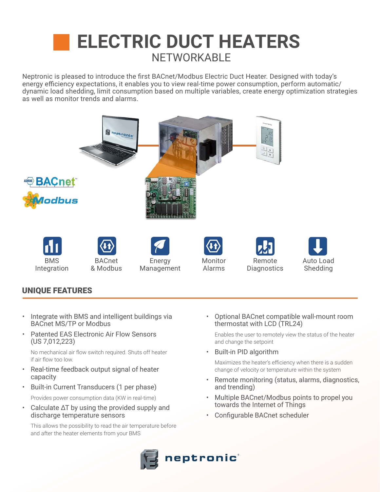## NETWORKABLE **ELECTRIC DUCT HEATERS**

Neptronic is pleased to introduce the first BACnet/Modbus Electric Duct Heater. Designed with today's energy efficiency expectations, it enables you to view real-time power consumption, perform automatic/ dynamic load shedding, limit consumption based on multiple variables, create energy optimization strategies as well as monitor trends and alarms.



## UNIQUE FEATURES

- Integrate with BMS and intelligent buildings via BACnet MS/TP or Modbus
- Patented EAS Electronic Air Flow Sensors (US 7,012,223)

No mechanical air flow switch required. Shuts off heater if air flow too low.

- Real-time feedback output signal of heater capacity
- Built-in Current Transducers (1 per phase)

Provides power consumption data (KW in real-time)

• Calculate ∆T by using the provided supply and discharge temperature sensors

This allows the possibility to read the air temperature before and after the heater elements from your BMS

• Optional BACnet compatible wall-mount room thermostat with LCD (TRL24)

Enables the user to remotely view the status of the heater and change the setpoint

• Built-in PID algorithm

Maximizes the heater's efficiency when there is a sudden change of velocity or temperature within the system

- Remote monitoring (status, alarms, diagnostics, and trending)
- Multiple BACnet/Modbus points to propel you towards the Internet of Things
- Configurable BACnet scheduler